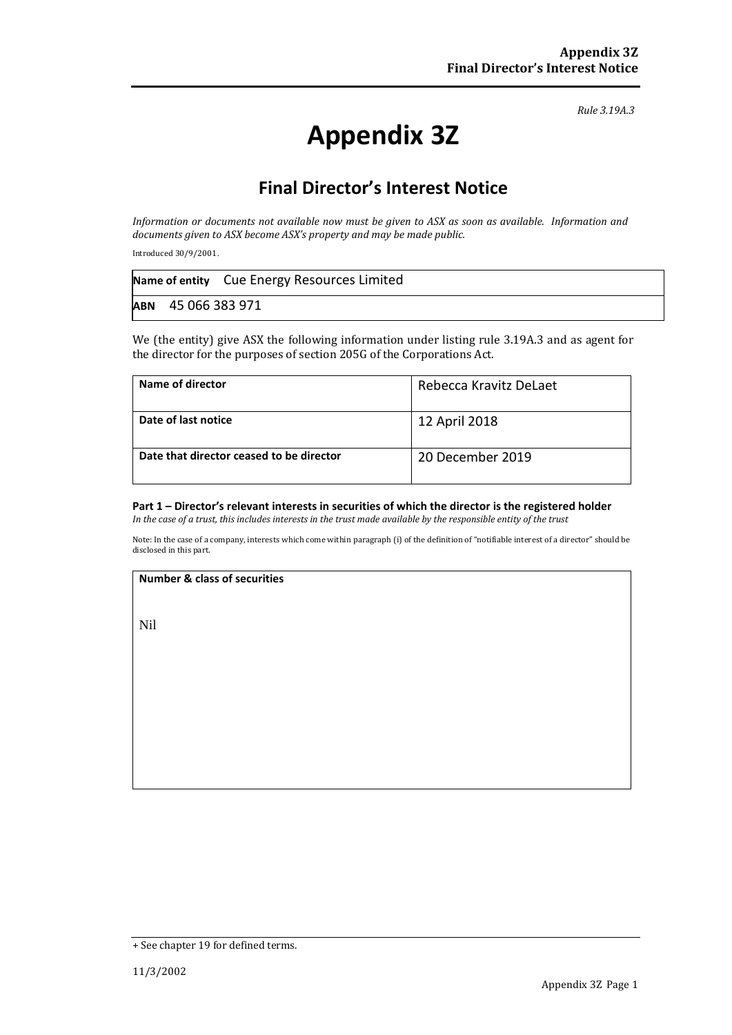*Rule 3.19A.3*

# **Appendix 3Z**

# **Final Director's Interest Notice**

*Information or documents not available now must be given to ASX as soon as available. Information and documents given to ASX become ASX's property and may be made public.*

Introduced 30/9/2001.

|                    | Name of entity Cue Energy Resources Limited |
|--------------------|---------------------------------------------|
| ABN 45 066 383 971 |                                             |

We (the entity) give ASX the following information under listing rule 3.19A.3 and as agent for the director for the purposes of section 205G of the Corporations Act.

| Name of director                         | Rebecca Kravitz DeLaet |
|------------------------------------------|------------------------|
| Date of last notice                      | 12 April 2018          |
| Date that director ceased to be director | 20 December 2019       |

### **Part 1 – Director's relevant interests in securities of which the director is the registered holder**

*In the case of a trust, this includes interests in the trust made available by the responsible entity of the trust*

Note: In the case of a company, interests which come within paragraph (i) of the definition of "notifiable interest of a director" should be disclosed in this part.

#### **Number & class of securities**

Nil

<sup>+</sup> See chapter 19 for defined terms.